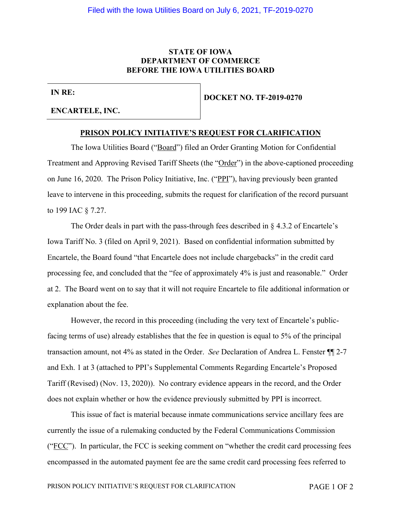# **STATE OF IOWA DEPARTMENT OF COMMERCE BEFORE THE IOWA UTILITIES BOARD**

**IN RE:**

#### **ENCARTELE, INC.**

**DOCKET NO. TF-2019-0270**

#### **PRISON POLICY INITIATIVE'S REQUEST FOR CLARIFICATION**

The Iowa Utilities Board ("Board") filed an Order Granting Motion for Confidential Treatment and Approving Revised Tariff Sheets (the "Order") in the above-captioned proceeding on June 16, 2020. The Prison Policy Initiative, Inc. ("PPI"), having previously been granted leave to intervene in this proceeding, submits the request for clarification of the record pursuant to 199 IAC § 7.27.

The Order deals in part with the pass-through fees described in  $\S$  4.3.2 of Encartele's Iowa Tariff No. 3 (filed on April 9, 2021). Based on confidential information submitted by Encartele, the Board found "that Encartele does not include chargebacks" in the credit card processing fee, and concluded that the "fee of approximately 4% is just and reasonable." Order at 2. The Board went on to say that it will not require Encartele to file additional information or explanation about the fee.

However, the record in this proceeding (including the very text of Encartele's publicfacing terms of use) already establishes that the fee in question is equal to 5% of the principal transaction amount, not 4% as stated in the Order. *See* Declaration of Andrea L. Fenster ¶¶ 2-7 and Exh. 1 at 3 (attached to PPI's Supplemental Comments Regarding Encartele's Proposed Tariff (Revised) (Nov. 13, 2020)). No contrary evidence appears in the record, and the Order does not explain whether or how the evidence previously submitted by PPI is incorrect.

This issue of fact is material because inmate communications service ancillary fees are currently the issue of a rulemaking conducted by the Federal Communications Commission (" $\text{FCC}$ "). In particular, the FCC is seeking comment on "whether the credit card processing fees encompassed in the automated payment fee are the same credit card processing fees referred to